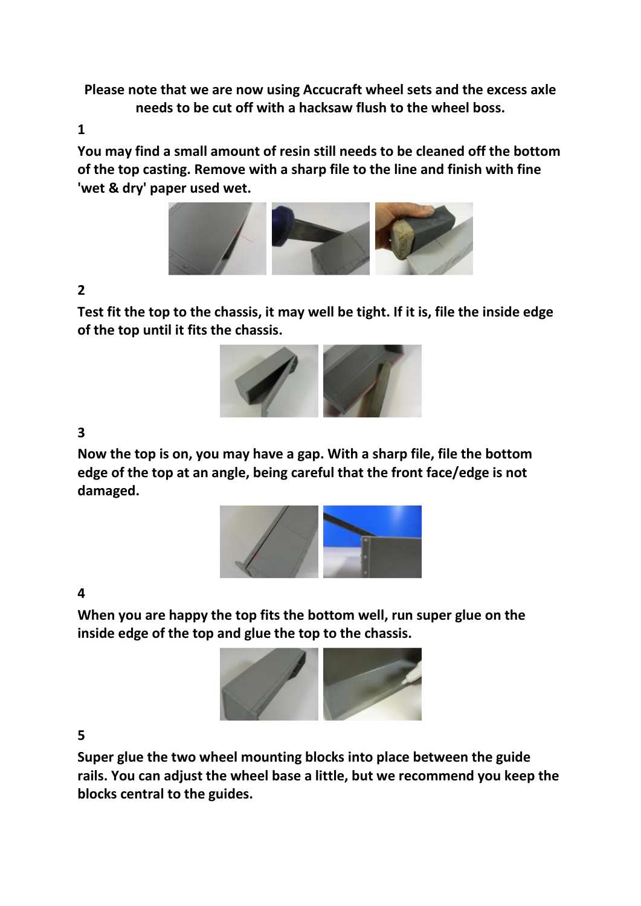**Please note that we are now using Accucraft wheel sets and the excess axle needs to be cut off with a hacksaw flush to the wheel boss.** 

**1** 

**You may find a small amount of resin still needs to be cleaned off the bottom of the top casting. Remove with a sharp file to the line and finish with fine 'wet & dry' paper used wet.**



# **2**

**Test fit the top to the chassis, it may well be tight. If it is, file the inside edge of the top until it fits the chassis.** 



### **3**

**Now the top is on, you may have a gap. With a sharp file, file the bottom edge of the top at an angle, being careful that the front face/edge is not damaged.**



#### **4**

**When you are happy the top fits the bottom well, run super glue on the inside edge of the top and glue the top to the chassis.**



#### **5**

**Super glue the two wheel mounting blocks into place between the guide rails. You can adjust the wheel base a little, but we recommend you keep the blocks central to the guides.**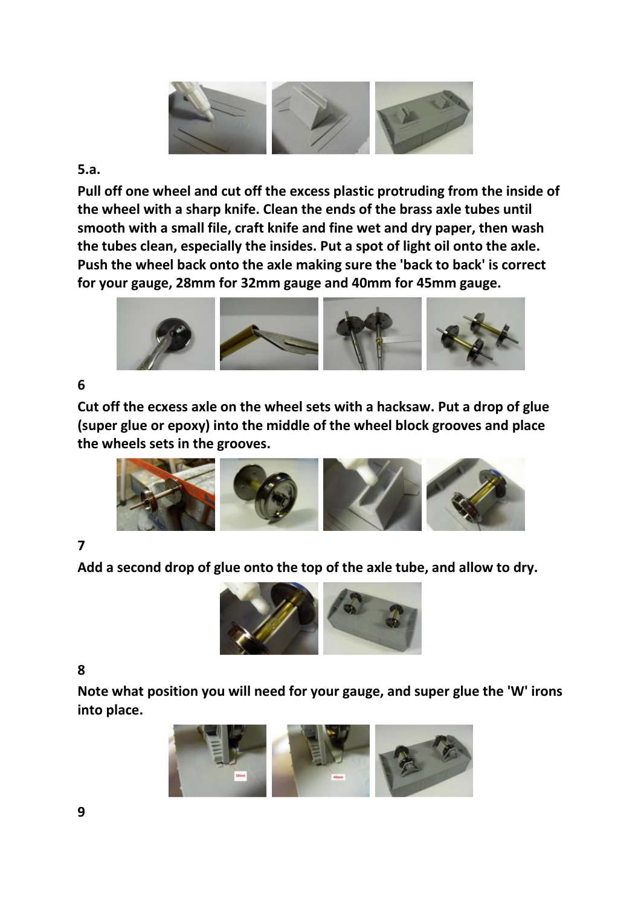

#### **5.a.**

**Pull off one wheel and cut off the excess plastic protruding from the inside of the wheel with a sharp knife. Clean the ends of the brass axle tubes until smooth with a small file, craft knife and fine wet and dry paper, then wash the tubes clean, especially the insides. Put a spot of light oil onto the axle. Push the wheel back onto the axle making sure the 'back to back' is correct for your gauge, 28mm for 32mm gauge and 40mm for 45mm gauge.**



## **6**

**Cut off the ecxess axle on the wheel sets with a hacksaw. Put a drop of glue (super glue or epoxy) into the middle of the wheel block grooves and place the wheels sets in the grooves.**



## **7**

**Add a second drop of glue onto the top of the axle tube, and allow to dry.**



#### **8**

**Note what position you will need for your gauge, and super glue the 'W' irons into place.**